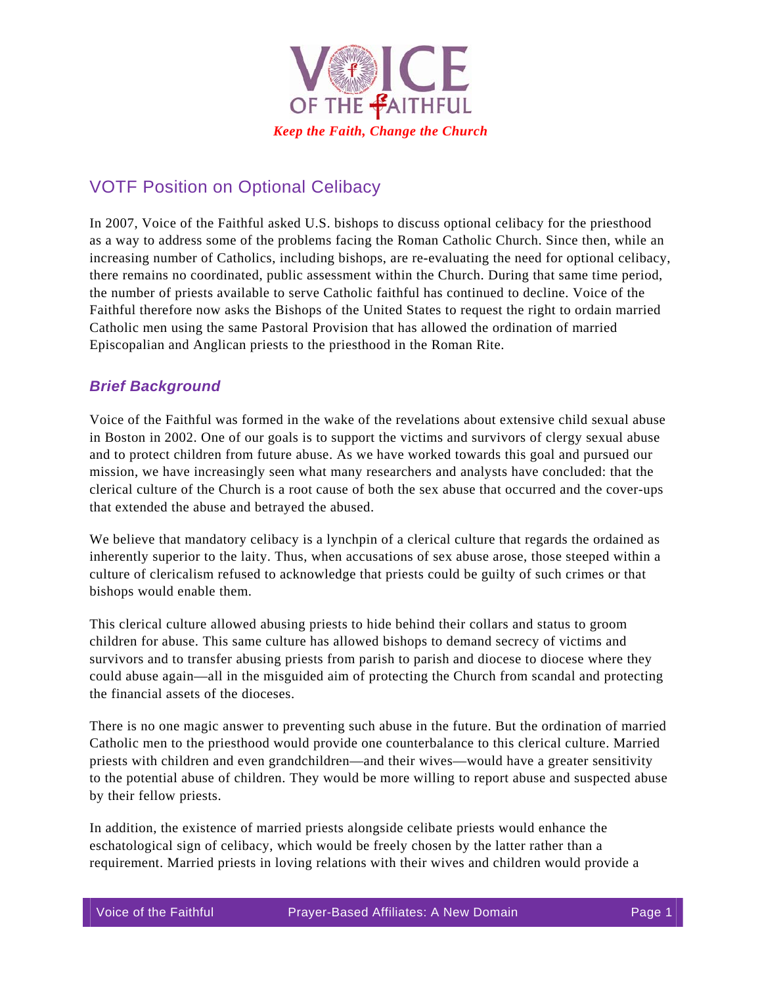

## VOTF Position on Optional Celibacy

In 2007, Voice of the Faithful asked U.S. bishops to discuss optional celibacy for the priesthood as a way to address some of the problems facing the Roman Catholic Church. Since then, while an increasing number of Catholics, including bishops, are re-evaluating the need for optional celibacy, there remains no coordinated, public assessment within the Church. During that same time period, the number of priests available to serve Catholic faithful has continued to decline. Voice of the Faithful therefore now asks the Bishops of the United States to request the right to ordain married Catholic men using the same Pastoral Provision that has allowed the ordination of married Episcopalian and Anglican priests to the priesthood in the Roman Rite.

## *Brief Background*

Voice of the Faithful was formed in the wake of the revelations about extensive child sexual abuse in Boston in 2002. One of our goals is to support the victims and survivors of clergy sexual abuse and to protect children from future abuse. As we have worked towards this goal and pursued our mission, we have increasingly seen what many researchers and analysts have concluded: that the clerical culture of the Church is a root cause of both the sex abuse that occurred and the cover-ups that extended the abuse and betrayed the abused.

We believe that mandatory celibacy is a lynchpin of a clerical culture that regards the ordained as inherently superior to the laity. Thus, when accusations of sex abuse arose, those steeped within a culture of clericalism refused to acknowledge that priests could be guilty of such crimes or that bishops would enable them.

This clerical culture allowed abusing priests to hide behind their collars and status to groom children for abuse. This same culture has allowed bishops to demand secrecy of victims and survivors and to transfer abusing priests from parish to parish and diocese to diocese where they could abuse again—all in the misguided aim of protecting the Church from scandal and protecting the financial assets of the dioceses.

There is no one magic answer to preventing such abuse in the future. But the ordination of married Catholic men to the priesthood would provide one counterbalance to this clerical culture. Married priests with children and even grandchildren—and their wives—would have a greater sensitivity to the potential abuse of children. They would be more willing to report abuse and suspected abuse by their fellow priests.

In addition, the existence of married priests alongside celibate priests would enhance the eschatological sign of celibacy, which would be freely chosen by the latter rather than a requirement. Married priests in loving relations with their wives and children would provide a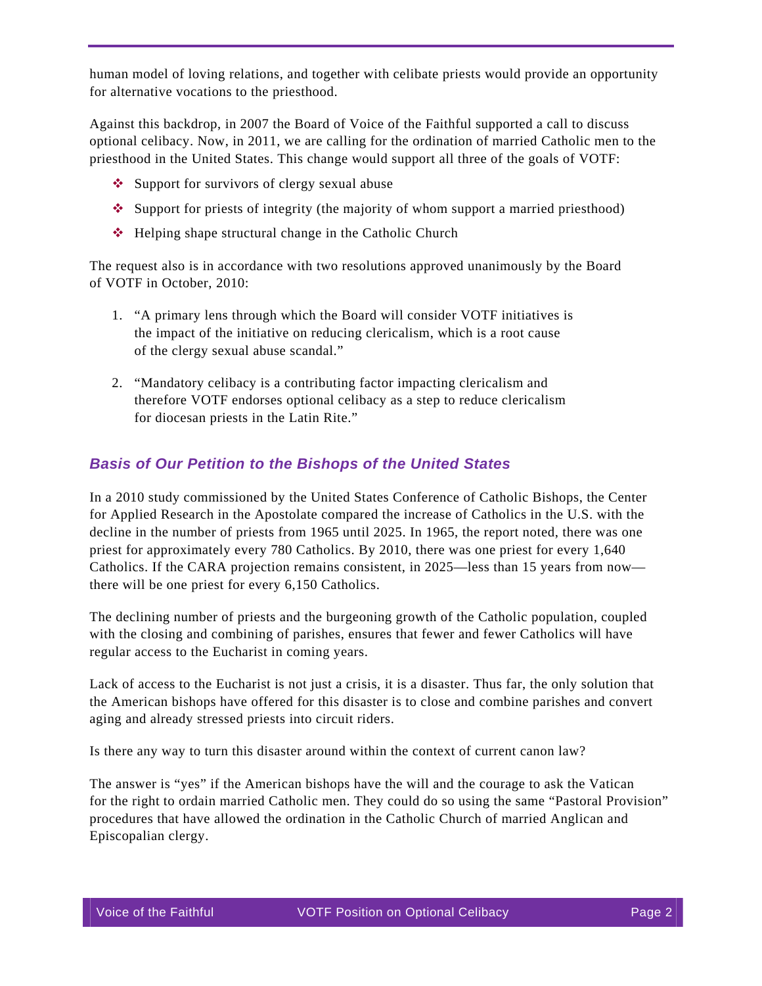human model of loving relations, and together with celibate priests would provide an opportunity for alternative vocations to the priesthood.

Against this backdrop, in 2007 the Board of Voice of the Faithful supported a call to discuss optional celibacy. Now, in 2011, we are calling for the ordination of married Catholic men to the priesthood in the United States. This change would support all three of the goals of VOTF:

- ❖ Support for survivors of clergy sexual abuse
- $\bullet$  Support for priests of integrity (the majority of whom support a married priesthood)
- $\triangle$  Helping shape structural change in the Catholic Church

The request also is in accordance with two resolutions approved unanimously by the Board of VOTF in October, 2010:

- 1. "A primary lens through which the Board will consider VOTF initiatives is the impact of the initiative on reducing clericalism, which is a root cause of the clergy sexual abuse scandal."
- 2. "Mandatory celibacy is a contributing factor impacting clericalism and therefore VOTF endorses optional celibacy as a step to reduce clericalism for diocesan priests in the Latin Rite."

## *Basis of Our Petition to the Bishops of the United States*

In a 2010 study commissioned by the United States Conference of Catholic Bishops, the Center for Applied Research in the Apostolate compared the increase of Catholics in the U.S. with the decline in the number of priests from 1965 until 2025. In 1965, the report noted, there was one priest for approximately every 780 Catholics. By 2010, there was one priest for every 1,640 Catholics. If the CARA projection remains consistent, in 2025—less than 15 years from now there will be one priest for every 6,150 Catholics.

The declining number of priests and the burgeoning growth of the Catholic population, coupled with the closing and combining of parishes, ensures that fewer and fewer Catholics will have regular access to the Eucharist in coming years.

Lack of access to the Eucharist is not just a crisis, it is a disaster. Thus far, the only solution that the American bishops have offered for this disaster is to close and combine parishes and convert aging and already stressed priests into circuit riders.

Is there any way to turn this disaster around within the context of current canon law?

The answer is "yes" if the American bishops have the will and the courage to ask the Vatican for the right to ordain married Catholic men. They could do so using the same "Pastoral Provision" procedures that have allowed the ordination in the Catholic Church of married Anglican and Episcopalian clergy.